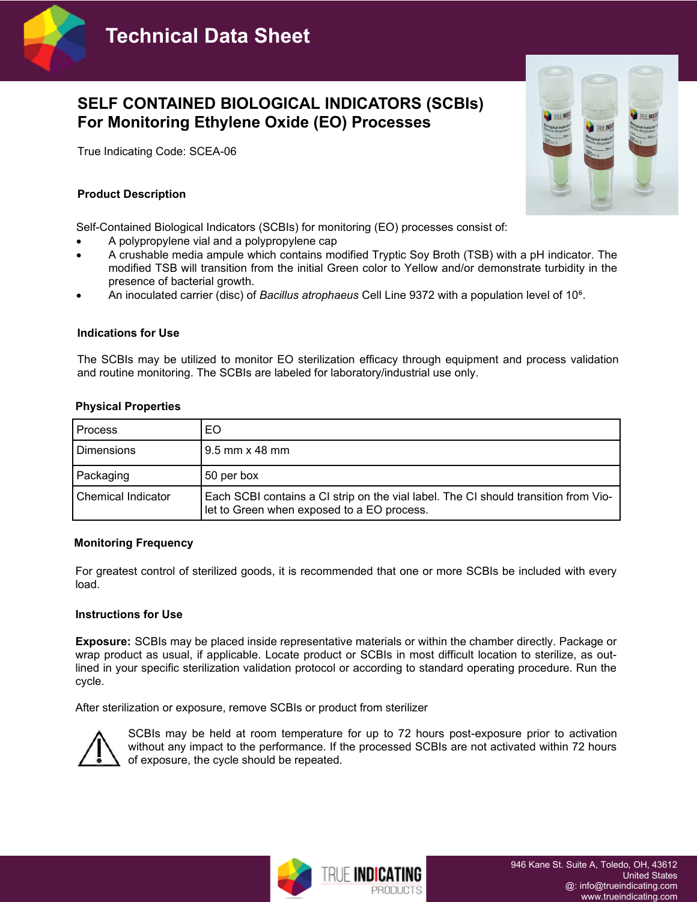

# **SELF CONTAINED BIOLOGICAL INDICATORS (SCBIs) For Monitoring Ethylene Oxide (EO) Processes**

True Indicating Code: SCEA-06

# **Product Description**

Self-Contained Biological Indicators (SCBIs) for monitoring (EO) processes consist of:

- A polypropylene vial and a polypropylene cap
- A crushable media ampule which contains modified Tryptic Soy Broth (TSB) with a pH indicator. The modified TSB will transition from the initial Green color to Yellow and/or demonstrate turbidity in the presence of bacterial growth.
- An inoculated carrier (disc) of *Bacillus atrophaeus* Cell Line 9372 with a population level of 10<sup>6</sup>.

## **Indications for Use**

The SCBIs may be utilized to monitor EO sterilization efficacy through equipment and process validation and routine monitoring. The SCBIs are labeled for laboratory/industrial use only.

| <b>Process</b>     | EO                                                                                                                                |
|--------------------|-----------------------------------------------------------------------------------------------------------------------------------|
| <b>Dimensions</b>  | $9.5$ mm $\times$ 48 mm                                                                                                           |
| Packaging          | 50 per box                                                                                                                        |
| Chemical Indicator | Each SCBI contains a CI strip on the vial label. The CI should transition from Vio-<br>let to Green when exposed to a EO process. |

## **Monitoring Frequency**

For greatest control of sterilized goods, it is recommended that one or more SCBIs be included with every load.

#### **Instructions for Use**

**Exposure:** SCBIs may be placed inside representative materials or within the chamber directly. Package or wrap product as usual, if applicable. Locate product or SCBIs in most difficult location to sterilize, as outlined in your specific sterilization validation protocol or according to standard operating procedure. Run the cycle.

After sterilization or exposure, remove SCBIs or product from sterilizer



SCBIs may be held at room temperature for up to 72 hours post-exposure prior to activation without any impact to the performance. If the processed SCBIs are not activated within 72 hours of exposure, the cycle should be repeated.

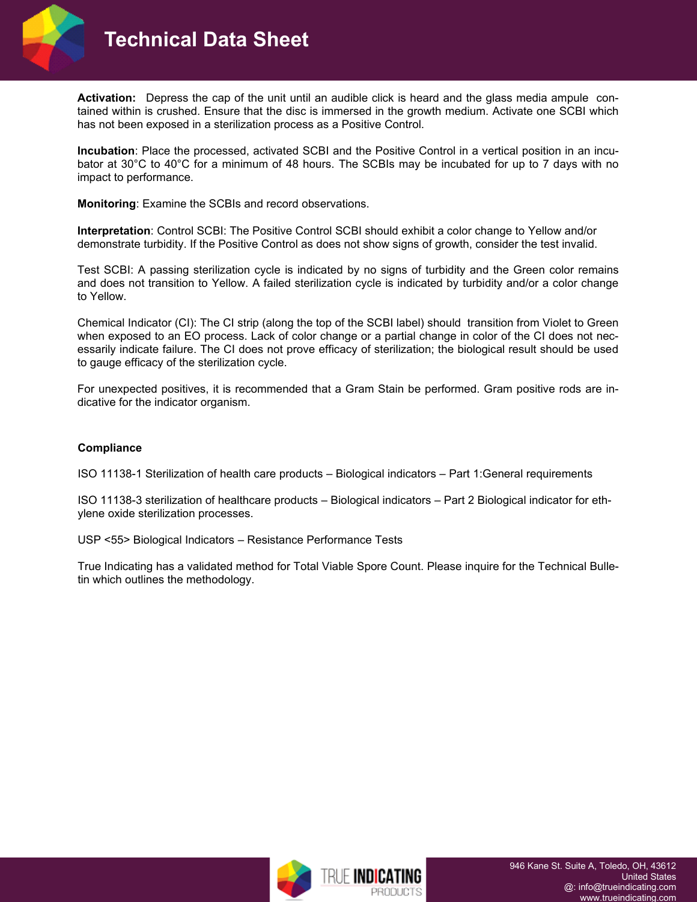



**Activation:** Depress the cap of the unit until an audible click is heard and the glass media ampule contained within is crushed. Ensure that the disc is immersed in the growth medium. Activate one SCBI which has not been exposed in a sterilization process as a Positive Control.

**Incubation**: Place the processed, activated SCBI and the Positive Control in a vertical position in an incubator at 30°C to 40°C for a minimum of 48 hours. The SCBIs may be incubated for up to 7 days with no impact to performance.

**Monitoring**: Examine the SCBIs and record observations.

**Interpretation**: Control SCBI: The Positive Control SCBI should exhibit a color change to Yellow and/or demonstrate turbidity. If the Positive Control as does not show signs of growth, consider the test invalid.

Test SCBI: A passing sterilization cycle is indicated by no signs of turbidity and the Green color remains and does not transition to Yellow. A failed sterilization cycle is indicated by turbidity and/or a color change to Yellow.

Chemical Indicator (CI): The CI strip (along the top of the SCBI label) should transition from Violet to Green when exposed to an EO process. Lack of color change or a partial change in color of the CI does not necessarily indicate failure. The CI does not prove efficacy of sterilization; the biological result should be used to gauge efficacy of the sterilization cycle.

For unexpected positives, it is recommended that a Gram Stain be performed. Gram positive rods are indicative for the indicator organism.

## **Compliance**

ISO 11138-1 Sterilization of health care products – Biological indicators – Part 1:General requirements

ISO 11138-3 sterilization of healthcare products – Biological indicators – Part 2 Biological indicator for ethylene oxide sterilization processes.

USP <55> Biological Indicators – Resistance Performance Tests

True Indicating has a validated method for Total Viable Spore Count. Please inquire for the Technical Bulletin which outlines the methodology.